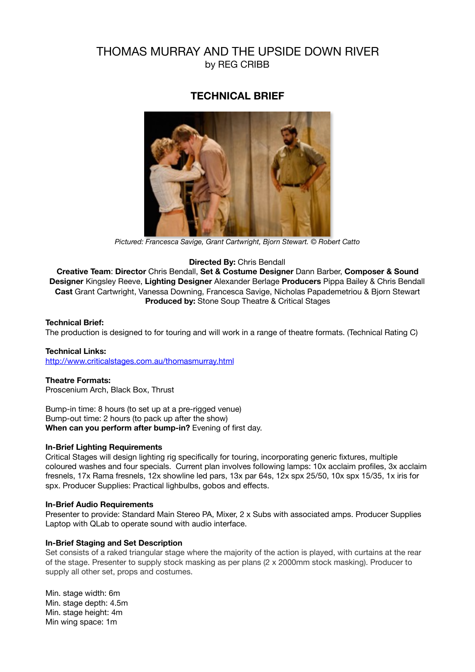# THOMAS MURRAY AND THE UPSIDE DOWN RIVER by REG CRIBB

# **TECHNICAL BRIEF**



*Pictured: Francesca Savige, Grant Cartwright, Bjorn Stewart. © Robert Catto*

## **Directed By:** Chris Bendall

**Creative Team**: **Director** Chris Bendall, **Set & Costume Designer** Dann Barber, **Composer & Sound Designer** Kingsley Reeve, **Lighting Designer** Alexander Berlage **Producers** Pippa Bailey & Chris Bendall **Cast** Grant Cartwright, Vanessa Downing, Francesca Savige, Nicholas Papademetriou & Bjorn Stewart **Produced by:** Stone Soup Theatre & Critical Stages

## **Technical Brief:**

The production is designed to for touring and will work in a range of theatre formats. (Technical Rating C)

**Technical Links:**  <http://www.criticalstages.com.au/thomasmurray.html>

# **Theatre Formats:**

Proscenium Arch, Black Box, Thrust

Bump-in time: 8 hours (to set up at a pre-rigged venue) Bump-out time: 2 hours (to pack up after the show) **When can you perform after bump-in?** Evening of first day.

# **In-Brief Lighting Requirements**

Critical Stages will design lighting rig specifically for touring, incorporating generic fixtures, multiple coloured washes and four specials. Current plan involves following lamps: 10x acclaim profiles, 3x acclaim fresnels, 17x Rama fresnels, 12x showline led pars, 13x par 64s, 12x spx 25/50, 10x spx 15/35, 1x iris for spx. Producer Supplies: Practical lighbulbs, gobos and effects.

#### **In-Brief Audio Requirements**

Presenter to provide: Standard Main Stereo PA, Mixer, 2 x Subs with associated amps. Producer Supplies Laptop with QLab to operate sound with audio interface.

# **In-Brief Staging and Set Description**

Set consists of a raked triangular stage where the majority of the action is played, with curtains at the rear of the stage. Presenter to supply stock masking as per plans (2 x 2000mm stock masking). Producer to supply all other set, props and costumes.

Min. stage width: 6m Min. stage depth: 4.5m Min. stage height: 4m Min wing space: 1m